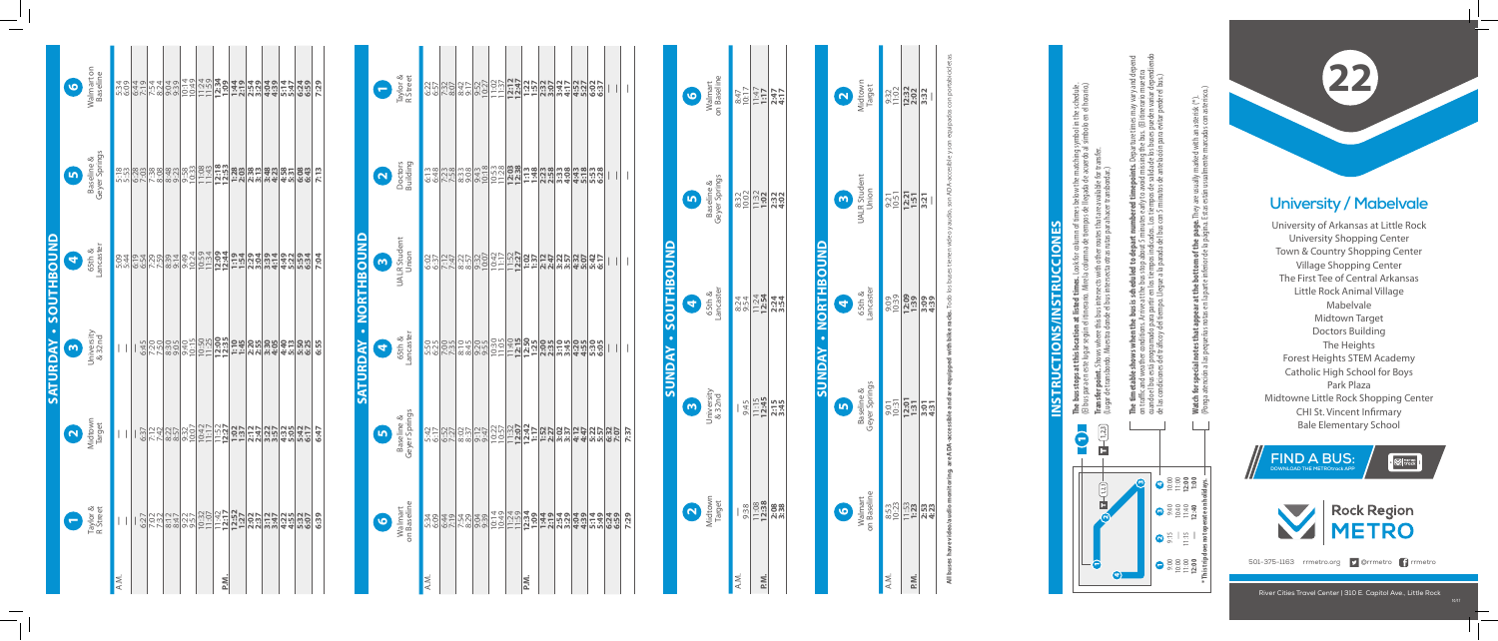## **University / Mabelvale**

University of Arkansas at Little Rock University Shopping Center Town & Country Shopping Center Village Shopping Center The First Tee of Central Arkansas Little Rock Animal Village Mabelvale Midtown Target Doctors Building The Heights Forest Heights STEM Academy Catholic High School for Boys Park Plaza Midtowne Little Rock Shopping Center CHI St. Vincent Infirmary Bale Elementary School

## **SATURDAY • NORTHBOUND ORTHBOUN** Ž ATURDA

**22**

River Cities Travel Center | 310 E. Capitol Ave., Little Rock



**The bus stops at this location at listed times.** Look for column of times below the matching symbol in the schedule. (El bus para en este lugar según el itinerario. Mire la columna de tiempos de llegada de acuerdo al símbolo en el horario.)  $\frac{1}{2}$   $\frac{1}{2}$ 白三

|                     | on Baseline<br>Walmart<br>6                 | 10:17<br>10:17 | $1:17$<br>1:17                                                                       | 2:47<br>4:17 |                            |
|---------------------|---------------------------------------------|----------------|--------------------------------------------------------------------------------------|--------------|----------------------------|
|                     | Baseline &<br>Geyer Springs<br>$\mathbf{b}$ | 8:32<br>10:02  | $11:32$<br>1:02                                                                      | 2:32<br>4:02 |                            |
| SUNDAY - SOUTHBOUND | ancaster<br>65th &                          | 8:24<br>9:54   | $11:24$<br>12:54                                                                     | 2:34<br>3:54 | <b>SUNDAY - NORTHBOUND</b> |
|                     | University<br>& 32nd<br>$\bullet$           | 9:45           | $11:15$<br>12:45                                                                     | 2:15<br>3:45 |                            |
|                     | Midtown<br>Target<br>$\bullet$              |                | $\begin{array}{r l} \hline 0.38 \\ \hline 0.38 \\ \hline 1.23 \\ \hline \end{array}$ |              |                            |
|                     |                                             | Ä.N.           | <u>ี<br/>≥.ั</u>                                                                     |              |                            |

| $\frac{9:32}{1:02}$<br>$\frac{12:32}{2:02}$<br>$\frac{3}{2}:$<br>$\frac{9:51}{12:21}$<br>$\frac{151}{12:1}$<br>9:39<br>2:39<br>2:39<br>9:39<br>3:4:39<br>$\frac{1}{2}$ $\frac{1}{2}$ $\frac{1}{2}$ $\frac{1}{2}$ $\frac{1}{2}$ $\frac{1}{2}$ $\frac{1}{2}$ $\frac{1}{2}$ $\frac{1}{2}$ $\frac{1}{2}$<br>$1:53$<br>$1:23$<br>8:53<br>10:23<br>$2:53$<br>$4:23$<br>ΑŅ.<br>P.M. | on Baseline<br>Valmart | Baseline &<br>Geyer Springs | 65th &<br>ancaster | <b>UALR Student</b><br>Union | Viidtown<br>Target |
|------------------------------------------------------------------------------------------------------------------------------------------------------------------------------------------------------------------------------------------------------------------------------------------------------------------------------------------------------------------------------|------------------------|-----------------------------|--------------------|------------------------------|--------------------|
|                                                                                                                                                                                                                                                                                                                                                                              |                        |                             |                    |                              |                    |
|                                                                                                                                                                                                                                                                                                                                                                              |                        |                             |                    |                              |                    |
|                                                                                                                                                                                                                                                                                                                                                                              |                        |                             |                    |                              |                    |

cuando el bus está programado para partir en los tiempos indicados. Los tiempos de salida de los buses pueden variar dependiendo **The timetable shows when the bus is scheduled to depart numbered timepoints.** Departure times may vary and depend on traffic and weather conditions. Arrive at the bus stop about 5 minutes early to avoid missing the bus. (El itinerario muestra de las condiciones del tráco y del tiempo. Llegue a la parada del bus con 5 minutos de antelación para evitar perder el bus.) illies IIIa<br>(El itine<br>pueden<br>evitar pe inel<br>Ins bu<br>Ios bu to avoid miss<br>os de salida<br>nutos de ante es<br>Los ಿ ಕನ್ನ weai<br>está  $\sum_{i=1}^{n}$  $m_{\text{el}}$ **The t**<br>on trans<br>de las

n an asterisk (\*).<br>adas con asterisco.) **Watch for special notes that appear at the bottom of the page.** They are usually marked with an asterisk (\*). **ottom of the page.** They are usually<br>inferior de la página. Estas están usua  $t$ <sub>b</sub> $\overline{a}$  $arat$ <br>en la that<br>Phis ង ដ tor<br>ate Watch<br>(Ponga

**6**

<u>เก</u>

**4**

<u>ო</u>

 $\mathbf{r}$ 

**All buses have video/audio monitoring, are ADA-accessible and are equipped with bike racks.** Todo los buses tienen video y audio, son ADA-accesible y son equipados con portabicicletas.

## **INSTRUCTIONS/INSTRUCCIONES**  $\overline{\mathsf{S}}$ F TRU **SNIVS** İδ **INSTRU**



**Transfer point.** Shows where this bus intersects with other routes that are available for transfer. (Lugar de transbordo. Muestra donde el bus intersecta otras rutas para hacer transbordar.)

|      |                      |                                                                                                                                                                                                                                      | SATURDAY - SOUTHBOUND                                                                                         |                     |                                                                                                                                                                                                                  |                                          |
|------|----------------------|--------------------------------------------------------------------------------------------------------------------------------------------------------------------------------------------------------------------------------------|---------------------------------------------------------------------------------------------------------------|---------------------|------------------------------------------------------------------------------------------------------------------------------------------------------------------------------------------------------------------|------------------------------------------|
|      |                      |                                                                                                                                                                                                                                      | $\bullet$                                                                                                     | 9                   | $\mathbf{r}$                                                                                                                                                                                                     | 6                                        |
|      | Taylor &<br>R Street | Midtown<br>Midtown                                                                                                                                                                                                                   | University<br>& 32nd                                                                                          | 65th &<br>Lancaster | Baseline &<br>Geyer Springs                                                                                                                                                                                      | Walmart on<br>Baseline                   |
| A.M. | $\vert \ \vert$      |                                                                                                                                                                                                                                      |                                                                                                               |                     |                                                                                                                                                                                                                  |                                          |
|      |                      |                                                                                                                                                                                                                                      |                                                                                                               |                     |                                                                                                                                                                                                                  |                                          |
|      |                      |                                                                                                                                                                                                                                      |                                                                                                               |                     |                                                                                                                                                                                                                  |                                          |
|      |                      |                                                                                                                                                                                                                                      |                                                                                                               |                     |                                                                                                                                                                                                                  |                                          |
|      |                      |                                                                                                                                                                                                                                      |                                                                                                               |                     |                                                                                                                                                                                                                  |                                          |
|      |                      |                                                                                                                                                                                                                                      |                                                                                                               |                     |                                                                                                                                                                                                                  |                                          |
| P.N. |                      |                                                                                                                                                                                                                                      |                                                                                                               |                     |                                                                                                                                                                                                                  |                                          |
|      |                      |                                                                                                                                                                                                                                      |                                                                                                               |                     |                                                                                                                                                                                                                  |                                          |
|      |                      | <u>၂ ကျွံး အိုးကို တိုက်ခြင်း မြို့သို့ မြို့သို့ မြို့သို့ မြို့သို့ မြို့ မြို့ မြို့ မြို့ မြို့ မြို့ မြို့</u><br>၂ ကျွံး မြို့သို့ မြို့သို့ မြို့ မြို့ မြို့ မြို့ မြို့ မြို့ မြို့ မြို့ မြို့ မြို့ မြို့ မြို့ မြို့ မြိ | အိုဒ္ဓဝါဝီစီခြင်း   <b>၁၁၂ဝါဝီမီခြင်း  ၁၁၂ဝါဝီမီ</b><br>     အိုဒ္ဓဝါဝီစီခြင်း  ၁၁၂ဝီမီမီခြင်း  ၁၁၂ဝါ အိုဒီမီ |                     | <u>ားပါတီပါမွာ တို့ဆိုတီများ သံမှာ မြောက်မှာ မြောက်မှာ မြောက်မှာ မြောက်မှာ မြောက်မှာ မြို့</u><br>ထိုက်မှာ မြို့သို့ မြောက်မှု မြို့သို့ မြို့သို့ မြို့သို့ မြို့သို့ မြို့သို့ မြို့သို့ မြို့သို့ မြို့သို့ မ | ng eri raje el 55155555540 1444 1249 125 |
|      |                      |                                                                                                                                                                                                                                      |                                                                                                               |                     |                                                                                                                                                                                                                  |                                          |
|      |                      |                                                                                                                                                                                                                                      |                                                                                                               |                     |                                                                                                                                                                                                                  |                                          |
|      |                      |                                                                                                                                                                                                                                      |                                                                                                               |                     |                                                                                                                                                                                                                  |                                          |
|      | 6:39                 | 6:47                                                                                                                                                                                                                                 | 6:55                                                                                                          | 7:04                | 7:13                                                                                                                                                                                                             | 7:29                                     |
|      |                      |                                                                                                                                                                                                                                      |                                                                                                               |                     |                                                                                                                                                                                                                  |                                          |

(Ponga atención a las pequeñas notas en la parte inferior de la página. Estas están usualmente marcadas con asterisco.)

| Taylor &<br>R Street                        |                                                                                                                                                                                                                                          | <u> 영업 중심 정보 중심 중심 정보 정보 중심 정보</u><br>영업 정보 정보 정보 중심 정보 정보 정보 정보 정보<br>영업 정보 정보 정보 정보 정보 정보 정보 정보 이 시   |  |  |      |  |  | $\vert$ |
|---------------------------------------------|------------------------------------------------------------------------------------------------------------------------------------------------------------------------------------------------------------------------------------------|---------------------------------------------------------------------------------------------------------|--|--|------|--|--|---------|
| Doctors<br>Doctors                          | -<br> တဆိုပ္သံတိုက္တံတိုက္ တိုက္တ <b>ိုက္တိုက္ အို ကစ္ကိုက္တံတိုက္ အို</b><br> အိုင္ဒိုက္တိုက္တံတိုက္တိုက္တိုက္တိုက္ အိုင္ဒိုက္တံတိုက္တံတို႔ အိုင္ဒိုက္                                                                                  |                                                                                                         |  |  |      |  |  | I       |
| <b>UALR Student</b><br>Union<br>6           | <u>ြို့ မြို့သည်။ မြို့သည် မြို့သည် မြို့သည် မြို့သည် မြို့ကြ</u><br>မြို့သည် မြို့သည် မြို့သည် မြို့သည် မြို့သည် မြို့သည် မြို့သည် မြို့သည် မြို့သည် မြို့သည် မြို့သည် မြို့သည် မြ<br>မြို့သည် မြို့သည် မြို့သည် မြို့သည် မြို့သည် မြို |                                                                                                         |  |  |      |  |  |         |
| 65th &<br>Lancaster<br>G                    | <u>ိုင်းပိုင်းများ အမျိုးပြုပြီး မြို့ကို မြို့ကို မြို့ကို မြို့ကို မြို့ကို မြို့ကို မြို့ကို မြို့</u><br>ကြွမ်းပြီး မြို့ကို မြို့ကို မြို့ကို မြို့ကို မြို့ကို မြို့ကို မြို့ကို မြို့ကို မြို့ကို မြို့ကို မြို့ကို<br>ကြွမ်းပြီး |                                                                                                         |  |  |      |  |  |         |
| Baseline &<br>Geyer Springs<br>$\mathbf{G}$ |                                                                                                                                                                                                                                          |                                                                                                         |  |  |      |  |  | 7:37    |
| Walmart<br>on Baseline<br>$\bullet$         |                                                                                                                                                                                                                                          | <u>ซอตะประติจะตีวิธีประโท</u> มีชิมิร์มีชิมิร์มีชิมิร์<br>ซอตะประติจะตีวิธีประโทมีชิมิร์มีชิมิร์มีสัญละ |  |  |      |  |  | 7:29    |
|                                             | A.M.                                                                                                                                                                                                                                     |                                                                                                         |  |  | P.N. |  |  |         |